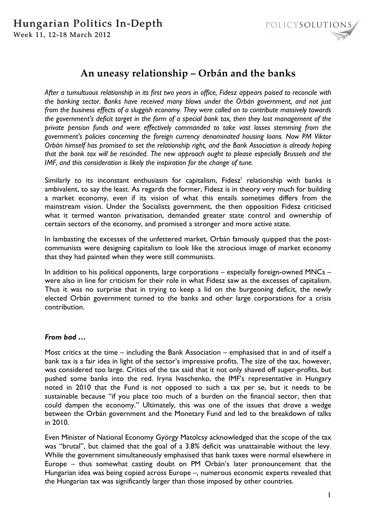

# **An uneasy relationship – Orbán and the banks**

*After a tumultuous relationship in its first two years in office, Fidesz appears poised to reconcile with the banking sector. Banks have received many blows under the Orbán government, and not just from the business effects of a sluggish economy. They were called on to contribute massively towards the government's deficit target in the form of a special bank tax, then they lost management of the private pension funds and were effectively commanded to take vast losses stemming from the government's policies concerning the foreign currency denominated housing loans. Now PM Viktor Orbán himself has promised to set the relationship right, and the Bank Association is already hoping that the bank tax will be rescinded. The new approach ought to please especially Brussels and the*  IMF, and this consideration is likely the inspiration for the change of tune.

Similarly to its inconstant enthusiasm for capitalism, Fidesz' relationship with banks is ambivalent, to say the least. As regards the former, Fidesz is in theory very much for building a market economy, even if its vision of what this entails sometimes differs from the mainstream vision. Under the Socialists government, the then opposition Fidesz criticised what it termed wanton privatisation, demanded greater state control and ownership of certain sectors of the economy, and promised a stronger and more active state.

In lambasting the excesses of the unfettered market, Orbán famously quipped that the postcommunists were designing capitalism to look like the atrocious image of market economy that they had painted when they were still communists.

In addition to his political opponents, large corporations – especially foreign-owned MNCs – were also in line for criticism for their role in what Fidesz saw as the excesses of capitalism. Thus it was no surprise that in trying to keep a lid on the burgeoning deficit, the newly elected Orbán government turned to the banks and other large corporations for a crisis contribution.

## *From bad …*

Most critics at the time – including the Bank Association – emphasised that in and of itself a bank tax is a fair idea in light of the sector's impressive profits. The size of the tax, however, was considered too large. Critics of the tax said that it not only shaved off super-profits, but pushed some banks into the red. Iryna Ivaschenko, the IMF's representative in Hungary noted in 2010 that the Fund is not opposed to such a tax per se, but it needs to be sustainable because "if you place too much of a burden on the financial sector, then that could dampen the economy." Ultimately, this was one of the issues that drove a wedge between the Orbán government and the Monetary Fund and led to the breakdown of talks in 2010.

Even Minister of National Economy György Matolcsy acknowledged that the scope of the tax was "brutal", but claimed that the goal of a 3.8% deficit was unattainable without the levy. While the government simultaneously emphasised that bank taxes were normal elsewhere in Europe – thus somewhat casting doubt on PM Orbán's later pronouncement that the Hungarian idea was being copied across Europe –, numerous economic experts revealed that the Hungarian tax was significantly larger than those imposed by other countries.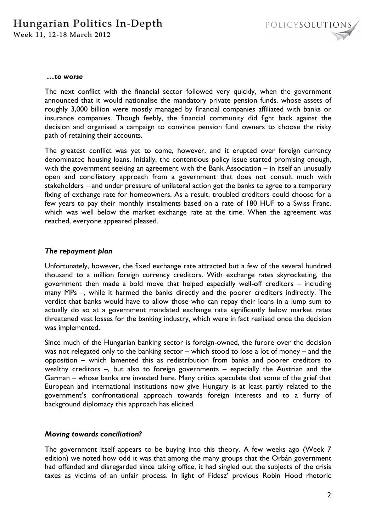

#### *…to worse*

The next conflict with the financial sector followed very quickly, when the government announced that it would nationalise the mandatory private pension funds, whose assets of roughly 3,000 billion were mostly managed by financial companies affiliated with banks or insurance companies. Though feebly, the financial community did fight back against the decision and organised a campaign to convince pension fund owners to choose the risky path of retaining their accounts.

The greatest conflict was yet to come, however, and it erupted over foreign currency denominated housing loans. Initially, the contentious policy issue started promising enough, with the government seeking an agreement with the Bank Association – in itself an unusually open and conciliatory approach from a government that does not consult much with stakeholders – and under pressure of unilateral action got the banks to agree to a temporary fixing of exchange rate for homeowners. As a result, troubled creditors could choose for a few years to pay their monthly instalments based on a rate of 180 HUF to a Swiss Franc, which was well below the market exchange rate at the time. When the agreement was reached, everyone appeared pleased.

#### *The repayment plan*

Unfortunately, however, the fixed exchange rate attracted but a few of the several hundred thousand to a million foreign currency creditors. With exchange rates skyrocketing, the government then made a bold move that helped especially well-off creditors – including many MPs –, while it harmed the banks directly and the poorer creditors indirectly. The verdict that banks would have to allow those who can repay their loans in a lump sum to actually do so at a government mandated exchange rate significantly below market rates threatened vast losses for the banking industry, which were in fact realised once the decision was implemented.

Since much of the Hungarian banking sector is foreign-owned, the furore over the decision was not relegated only to the banking sector – which stood to lose a lot of money – and the opposition – which lamented this as redistribution from banks and poorer creditors to wealthy creditors –, but also to foreign governments – especially the Austrian and the German – whose banks are invested here. Many critics speculate that some of the grief that European and international institutions now give Hungary is at least partly related to the government's confrontational approach towards foreign interests and to a flurry of background diplomacy this approach has elicited.

### *Moving towards conciliation?*

The government itself appears to be buying into this theory. A few weeks ago (Week 7 edition) we noted how odd it was that among the many groups that the Orbán government had offended and disregarded since taking office, it had singled out the subjects of the crisis taxes as victims of an unfair process. In light of Fidesz' previous Robin Hood rhetoric